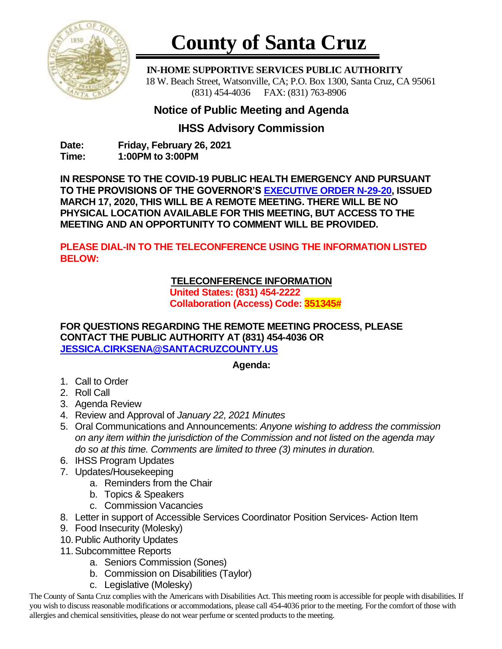

# **County of Santa Cruz**

 **IN-HOME SUPPORTIVE SERVICES PUBLIC AUTHORITY** 18 W. Beach Street, Watsonville, CA; P.O. Box 1300, Santa Cruz, CA 95061 (831) 454-4036 FAX: (831) 763-8906

## **Notice of Public Meeting and Agenda**

### **IHSS Advisory Commission**

**Date: Friday, February 26, 2021 Time: 1:00PM to 3:00PM**

**IN RESPONSE TO THE COVID-19 PUBLIC HEALTH EMERGENCY AND PURSUANT TO THE PROVISIONS OF THE GOVERNOR'S [EXECUTIVE ORDER N-29-20,](https://www.gov.ca.gov/wp-content/uploads/2020/03/3.17.20-N-29-20-EO.pdf) ISSUED MARCH 17, 2020, THIS WILL BE A REMOTE MEETING. THERE WILL BE NO PHYSICAL LOCATION AVAILABLE FOR THIS MEETING, BUT ACCESS TO THE MEETING AND AN OPPORTUNITY TO COMMENT WILL BE PROVIDED.**

**PLEASE DIAL-IN TO THE TELECONFERENCE USING THE INFORMATION LISTED BELOW:**

#### **TELECONFERENCE INFORMATION**

**United States: (831) 454-2222 Collaboration (Access) Code: 351345#**

**FOR QUESTIONS REGARDING THE REMOTE MEETING PROCESS, PLEASE CONTACT THE PUBLIC AUTHORITY AT (831) 454-4036 OR [JESSICA.CIRKSENA@SANTACRUZCOUNTY.US](mailto:JESSICA.CIRKSENA@SANTACRUZCOUNTY.US)**

#### **Agenda:**

- 1. Call to Order
- 2. Roll Call
- 3. Agenda Review
- 4. Review and Approval of *January 22, 2021 Minutes*
- 5. Oral Communications and Announcements: *Anyone wishing to address the commission on any item within the jurisdiction of the Commission and not listed on the agenda may do so at this time. Comments are limited to three (3) minutes in duration.*
- 6. IHSS Program Updates
- 7. Updates/Housekeeping
	- a. Reminders from the Chair
	- b. Topics & Speakers
	- c. Commission Vacancies
- 8. Letter in support of Accessible Services Coordinator Position Services- Action Item
- 9. Food Insecurity (Molesky)
- 10.Public Authority Updates
- 11.Subcommittee Reports
	- a. Seniors Commission (Sones)
	- b. Commission on Disabilities (Taylor)
	- c. Legislative (Molesky)

The County of Santa Cruz complies with the Americans with Disabilities Act. This meeting room is accessible for people with disabilities. If you wish to discuss reasonable modifications or accommodations, please call 454-4036 prior to the meeting. For the comfort of those with allergies and chemical sensitivities, please do not wear perfume or scented products to the meeting.